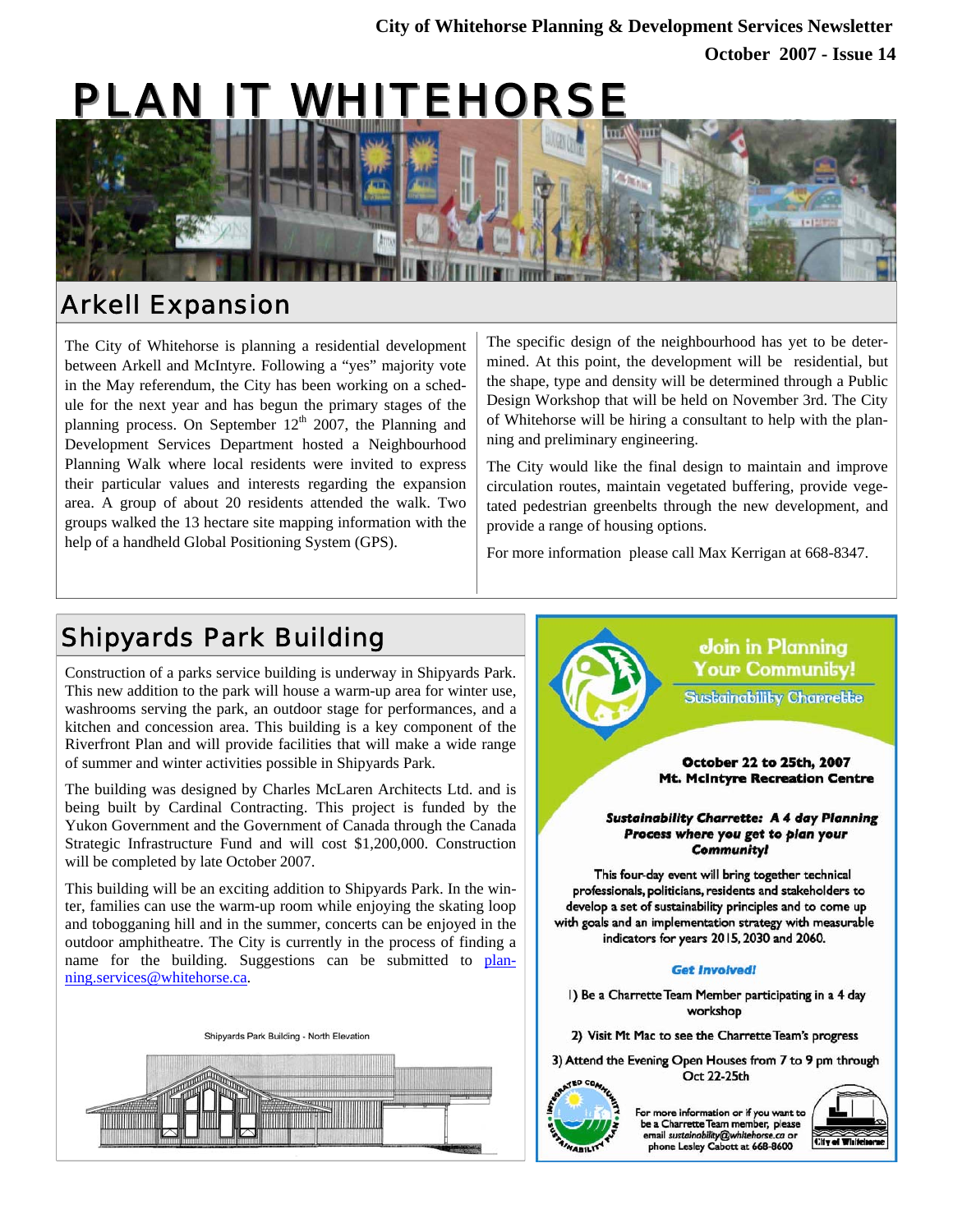# PLAN IT WHITEHORS



### Arkell Expansion

The City of Whitehorse is planning a residential development between Arkell and McIntyre. Following a "yes" majority vote in the May referendum, the City has been working on a schedule for the next year and has begun the primary stages of the planning process. On September  $12<sup>th</sup>$  2007, the Planning and Development Services Department hosted a Neighbourhood Planning Walk where local residents were invited to express their particular values and interests regarding the expansion area. A group of about 20 residents attended the walk. Two groups walked the 13 hectare site mapping information with the help of a handheld Global Positioning System (GPS).

The specific design of the neighbourhood has yet to be determined. At this point, the development will be residential, but the shape, type and density will be determined through a Public Design Workshop that will be held on November 3rd. The City of Whitehorse will be hiring a consultant to help with the planning and preliminary engineering.

The City would like the final design to maintain and improve circulation routes, maintain vegetated buffering, provide vegetated pedestrian greenbelts through the new development, and provide a range of housing options.

For more information please call Max Kerrigan at 668-8347.

# Shipyards Park Building

Construction of a parks service building is underway in Shipyards Park. This new addition to the park will house a warm-up area for winter use, washrooms serving the park, an outdoor stage for performances, and a kitchen and concession area. This building is a key component of the Riverfront Plan and will provide facilities that will make a wide range of summer and winter activities possible in Shipyards Park.

The building was designed by Charles McLaren Architects Ltd. and is being built by Cardinal Contracting. This project is funded by the Yukon Government and the Government of Canada through the Canada Strategic Infrastructure Fund and will cost \$1,200,000. Construction will be completed by late October 2007.

This building will be an exciting addition to Shipyards Park. In the winter, families can use the warm-up room while enjoying the skating loop and tobogganing hill and in the summer, concerts can be enjoyed in the outdoor amphitheatre. The City is currently in the process of finding a name for the building. Suggestions can be submitted to planning.services@whitehorse.ca.







1) Be a Charrette Team Member participating in a 4 day workshop

2) Visit Mt Mac to see the Charrette Team's progress

3) Attend the Evening Open Houses from 7 to 9 pm through Oct 22-25th



For more information or if you want to be a Charrette Team member, please email sustgingbility@whitehorse phone Lesley Cabott at 668-8600